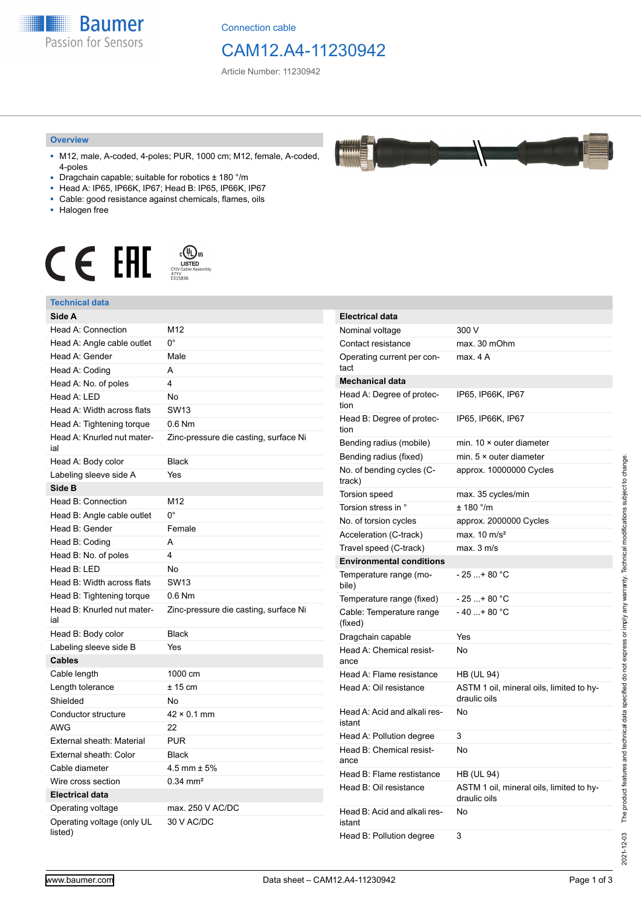

Connection cable

# CAM12.A4-11230942

Article Number: 11230942

#### **Overview**

- M12, male, A-coded, 4-poles; PUR, 1000 cm; M12, female, A-coded, 4-poles
- Dragchain capable; suitable for robotics ± 180 °/m
- Head A: IP65, IP66K, IP67; Head B: IP65, IP66K, IP67
- Cable: good resistance against chemicals, flames, oils
- Halogen free



#### **Technical data**

| Technical data                        |                                       |
|---------------------------------------|---------------------------------------|
| Side A                                |                                       |
| Head A: Connection                    | M12                                   |
| Head A: Angle cable outlet            | $0^{\circ}$                           |
| Head A: Gender                        | Male                                  |
| Head A: Coding                        | A                                     |
| Head A: No. of poles                  | 4                                     |
| Head A: LED                           | No                                    |
| Head A: Width across flats            | <b>SW13</b>                           |
| Head A: Tightening torque             | $0.6$ Nm                              |
| Head A: Knurled nut mater-<br>ial     | Zinc-pressure die casting, surface Ni |
| Head A: Body color                    | <b>Black</b>                          |
| Labeling sleeve side A                | Yes                                   |
| Side B                                |                                       |
| Head B: Connection                    | M12                                   |
| Head B: Angle cable outlet            | $0^{\circ}$                           |
| Head B: Gender                        | Female                                |
| Head B: Coding                        | A                                     |
| Head B: No. of poles                  | 4                                     |
| Head B: LED                           | No                                    |
| Head B: Width across flats            | <b>SW13</b>                           |
| Head B: Tightening torque             | $0.6$ Nm                              |
| Head B: Knurled nut mater-<br>ial     | Zinc-pressure die casting, surface Ni |
| Head B: Body color                    | <b>Black</b>                          |
| Labeling sleeve side B                | Yes                                   |
| <b>Cables</b>                         |                                       |
| Cable length                          | 1000 cm                               |
| Length tolerance                      | $± 15$ cm                             |
| Shielded                              | <b>No</b>                             |
| Conductor structure                   | $42 \times 0.1$ mm                    |
| AWG                                   | 22                                    |
| External sheath: Material             | <b>PUR</b>                            |
| External sheath: Color                | <b>Black</b>                          |
| Cable diameter                        | $4.5$ mm $\pm 5%$                     |
| Wire cross section                    | $0.34$ mm <sup>2</sup>                |
| <b>Electrical data</b>                |                                       |
| Operating voltage                     | max. 250 V AC/DC                      |
| Operating voltage (only UL<br>listed) | 30 V AC/DC                            |

| <b>Electrical data</b>                 |                                                          |
|----------------------------------------|----------------------------------------------------------|
| Nominal voltage                        | 300 V                                                    |
| Contact resistance                     | max. 30 mOhm                                             |
| Operating current per con-<br>tact     | max. 4 A                                                 |
| <b>Mechanical data</b>                 |                                                          |
| Head A: Degree of protec-<br>tion      | IP65, IP66K, IP67                                        |
| Head B: Degree of protec-<br>tion      | IP65, IP66K, IP67                                        |
| Bending radius (mobile)                | min. $10 \times$ outer diameter                          |
| Bending radius (fixed)                 | min. $5 \times$ outer diameter                           |
| No. of bending cycles (C-<br>track)    | approx. 10000000 Cycles                                  |
| Torsion speed                          | max. 35 cycles/min                                       |
| Torsion stress in °                    | ± 180 °/m                                                |
| No. of torsion cycles                  | approx. 2000000 Cycles                                   |
| Acceleration (C-track)                 | max. $10 \text{ m/s}^2$                                  |
| Travel speed (C-track)                 | max. 3 m/s                                               |
| <b>Environmental conditions</b>        |                                                          |
| Temperature range (mo-<br>bile)        | - 25 + 80 °C                                             |
| Temperature range (fixed)              | - 25 + 80 °C                                             |
| Cable: Temperature range<br>(fixed)    | $-40+80 °C$                                              |
| Dragchain capable                      | Yes                                                      |
| Head A: Chemical resist-<br>ance       | No                                                       |
| Head A: Flame resistance               | HB (UL 94)                                               |
| Head A: Oil resistance                 | ASTM 1 oil, mineral oils, limited to hy-<br>draulic oils |
| Head A: Acid and alkali res-<br>istant | No                                                       |
| Head A: Pollution degree               | 3                                                        |
| Head B: Chemical resist-<br>ance       | No                                                       |
| Head B: Flame restistance              | HB (UL 94)                                               |
| Head B: Oil resistance                 | ASTM 1 oil, mineral oils, limited to hy-<br>draulic oils |
| Head B: Acid and alkali res-<br>istant | No                                                       |
| Head B: Pollution degree               | 3                                                        |

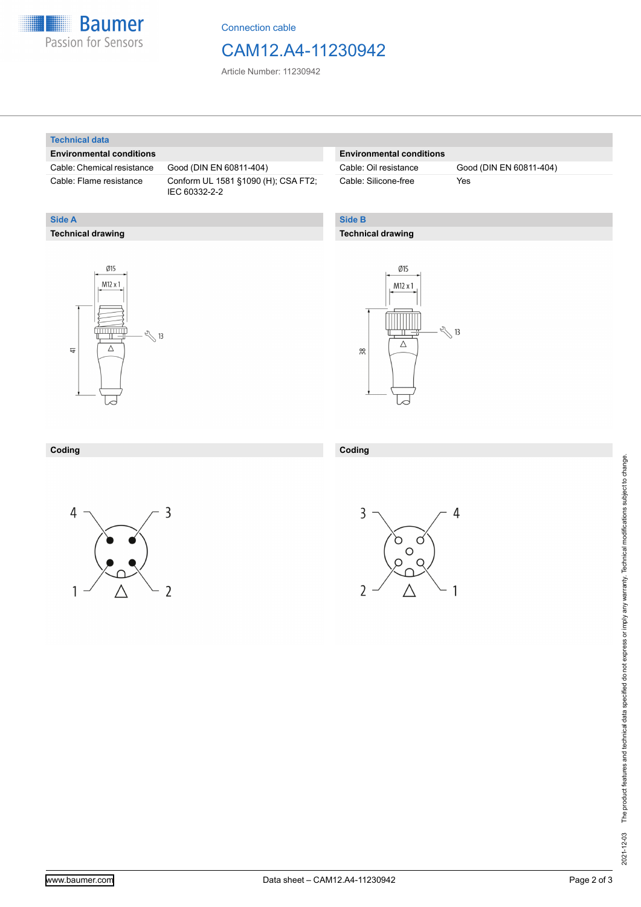

Connection cable

# CAM12.A4-11230942

Article Number: 11230942

#### **Technical data**

**Technical drawing**

**Side A**

### **Environmental conditions**

Cable: Chemical resistance Good (DIN EN 60811-404)

Cable: Flame resistance Conform UL 1581 §1090 (H); CSA FT2; IEC 60332-2-2

### **Environmental conditions**

Cable: Silicone-free Yes

Cable: Oil resistance Good (DIN EN 60811-404)

### **Side B**

**Coding**

#### **Technical drawing**





## **Coding**